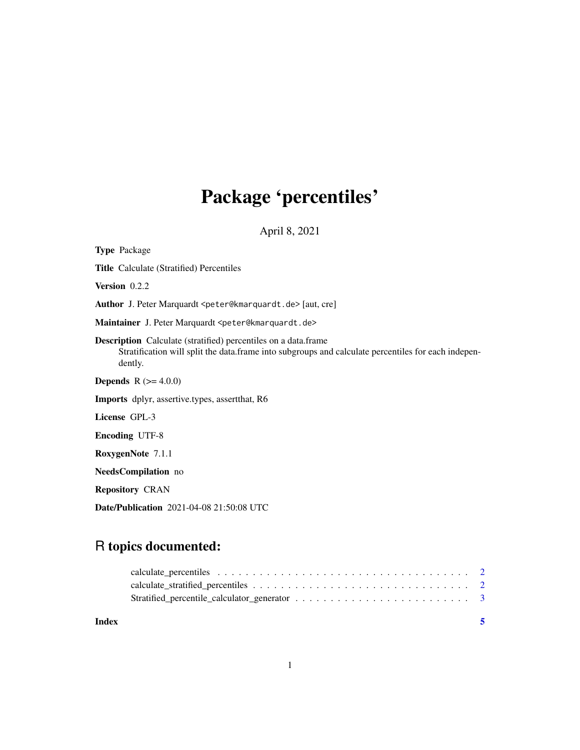## Package 'percentiles'

April 8, 2021

Type Package Title Calculate (Stratified) Percentiles Version 0.2.2 Author J. Peter Marquardt <peter@kmarquardt.de> [aut, cre] Maintainer J. Peter Marquardt <peter@kmarquardt.de> Description Calculate (stratified) percentiles on a data.frame Stratification will split the data.frame into subgroups and calculate percentiles for each independently. **Depends** R  $(>= 4.0.0)$ Imports dplyr, assertive.types, assertthat, R6 License GPL-3 Encoding UTF-8 RoxygenNote 7.1.1 NeedsCompilation no Repository CRAN Date/Publication 2021-04-08 21:50:08 UTC

### R topics documented:

**Index** [5](#page-4-0). The second state of the second state of the second state of the second state of the second state of the second state of the second state of the second state of the second state of the second state of the second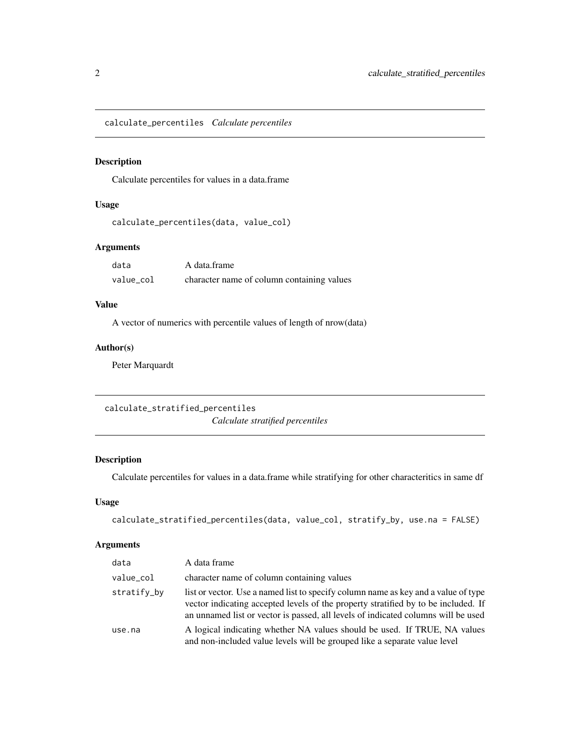<span id="page-1-0"></span>calculate\_percentiles *Calculate percentiles*

#### Description

Calculate percentiles for values in a data.frame

#### Usage

```
calculate_percentiles(data, value_col)
```
#### Arguments

| data      | A data.frame                               |
|-----------|--------------------------------------------|
| value col | character name of column containing values |

#### Value

A vector of numerics with percentile values of length of nrow(data)

#### Author(s)

Peter Marquardt

calculate\_stratified\_percentiles *Calculate stratified percentiles*

#### Description

Calculate percentiles for values in a data.frame while stratifying for other characteritics in same df

#### Usage

```
calculate_stratified_percentiles(data, value_col, stratify_by, use.na = FALSE)
```
#### Arguments

| data        | A data frame                                                                                                                                                                                                                                                  |
|-------------|---------------------------------------------------------------------------------------------------------------------------------------------------------------------------------------------------------------------------------------------------------------|
| value_col   | character name of column containing values                                                                                                                                                                                                                    |
| stratify_by | list or vector. Use a named list to specify column name as key and a value of type<br>vector indicating accepted levels of the property stratified by to be included. If<br>an unnamed list or vector is passed, all levels of indicated columns will be used |
| use.na      | A logical indicating whether NA values should be used. If TRUE, NA values<br>and non-included value levels will be grouped like a separate value level                                                                                                        |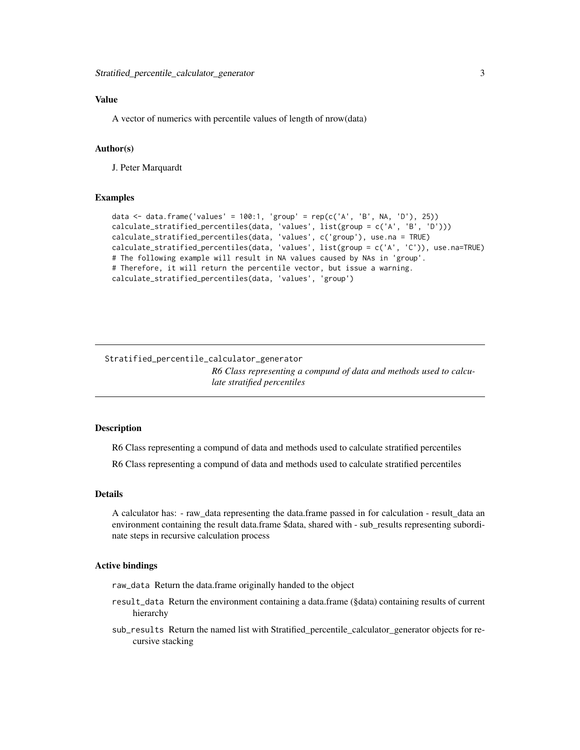#### <span id="page-2-0"></span>Value

A vector of numerics with percentile values of length of nrow(data)

#### Author(s)

J. Peter Marquardt

#### Examples

```
data \le data.frame('values' = 100:1, 'group' = rep(c('A', 'B', NA, 'D'), 25))
calculate_stratified_percentiles(data, 'values', list(group = c('A', 'B', 'D')))
calculate_stratified_percentiles(data, 'values', c('group'), use.na = TRUE)
calculate_stratified_percentiles(data, 'values', list(group = c('A', 'C')), use.na=TRUE)
# The following example will result in NA values caused by NAs in 'group'.
# Therefore, it will return the percentile vector, but issue a warning.
calculate_stratified_percentiles(data, 'values', 'group')
```
Stratified\_percentile\_calculator\_generator *R6 Class representing a compund of data and methods used to calculate stratified percentiles*

#### **Description**

R6 Class representing a compund of data and methods used to calculate stratified percentiles

R6 Class representing a compund of data and methods used to calculate stratified percentiles

#### Details

A calculator has: - raw\_data representing the data.frame passed in for calculation - result\_data an environment containing the result data.frame \$data, shared with - sub\_results representing subordinate steps in recursive calculation process

#### Active bindings

raw\_data Return the data.frame originally handed to the object

- result\_data Return the environment containing a data.frame (§data) containing results of current hierarchy
- sub\_results Return the named list with Stratified\_percentile\_calculator\_generator objects for recursive stacking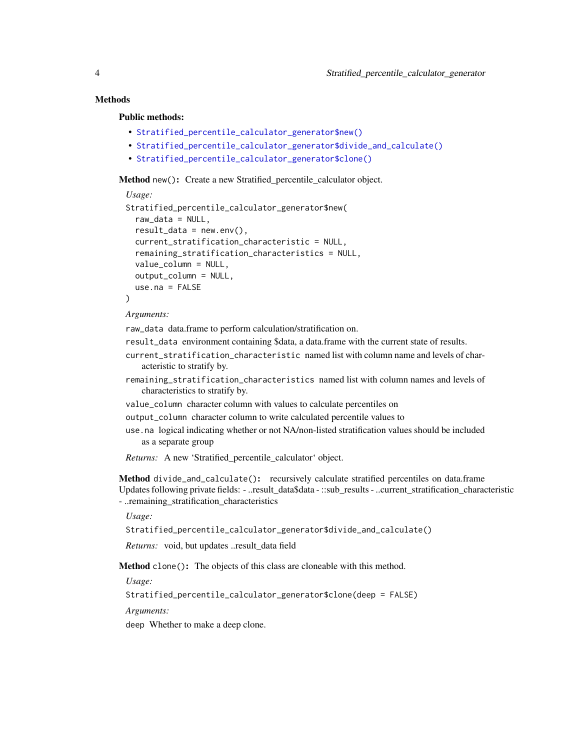#### **Methods**

#### Public methods:

- [Stratified\\_percentile\\_calculator\\_generator\\$new\(\)](#page-3-0)
- [Stratified\\_percentile\\_calculator\\_generator\\$divide\\_and\\_calculate\(\)](#page-3-1)
- [Stratified\\_percentile\\_calculator\\_generator\\$clone\(\)](#page-3-2)

<span id="page-3-0"></span>Method new(): Create a new Stratified percentile calculator object.

```
Usage:
Stratified_percentile_calculator_generator$new(
  raw_data = NULL,result_data = newenv(),
  current_stratification_characteristic = NULL,
  remaining_stratification_characteristics = NULL,
  value_column = NULL,
  output_column = NULL,
 use.na = FALSE
\lambda
```
*Arguments:*

raw\_data data.frame to perform calculation/stratification on.

- result\_data environment containing \$data, a data.frame with the current state of results.
- current\_stratification\_characteristic named list with column name and levels of characteristic to stratify by.
- remaining\_stratification\_characteristics named list with column names and levels of characteristics to stratify by.
- value\_column character column with values to calculate percentiles on
- output\_column character column to write calculated percentile values to
- use.na logical indicating whether or not NA/non-listed stratification values should be included as a separate group

*Returns:* A new 'Stratified\_percentile\_calculator' object.

<span id="page-3-1"></span>Method divide\_and\_calculate(): recursively calculate stratified percentiles on data.frame Updates following private fields: - ..result\_data\$data - ::sub\_results - ..current\_stratification\_characteristic - ..remaining\_stratification\_characteristics

*Usage:*

Stratified\_percentile\_calculator\_generator\$divide\_and\_calculate()

*Returns:* void, but updates ..result\_data field

<span id="page-3-2"></span>Method clone(): The objects of this class are cloneable with this method.

*Usage:*

Stratified\_percentile\_calculator\_generator\$clone(deep = FALSE)

*Arguments:*

deep Whether to make a deep clone.